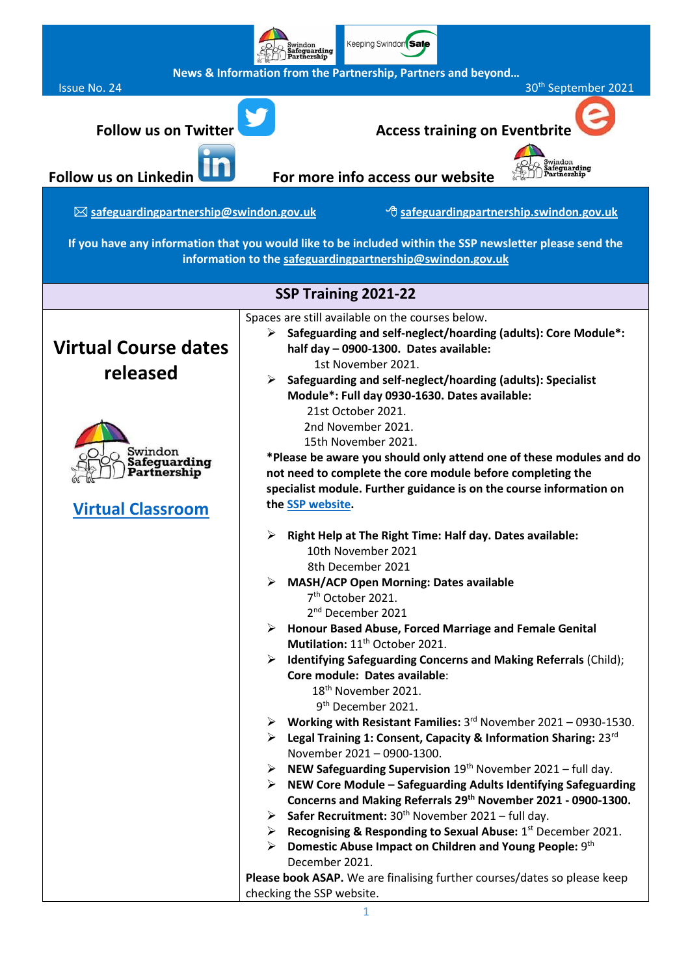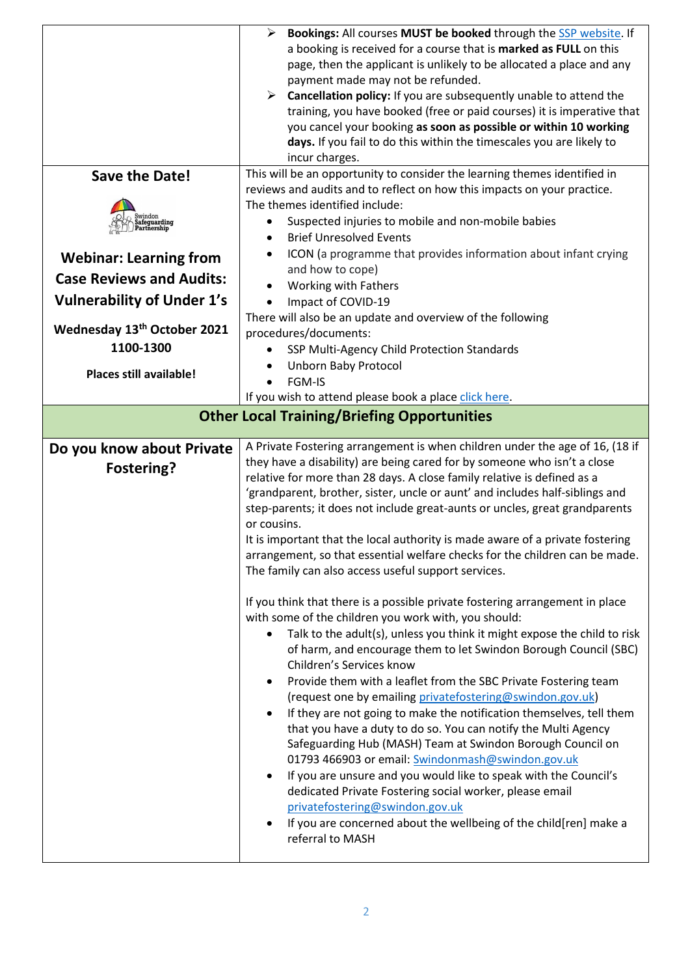|                                        | Bookings: All courses MUST be booked through the SSP website. If                                                                       |
|----------------------------------------|----------------------------------------------------------------------------------------------------------------------------------------|
|                                        | a booking is received for a course that is marked as FULL on this                                                                      |
|                                        | page, then the applicant is unlikely to be allocated a place and any                                                                   |
|                                        | payment made may not be refunded.                                                                                                      |
|                                        | Cancellation policy: If you are subsequently unable to attend the<br>➤                                                                 |
|                                        | training, you have booked (free or paid courses) it is imperative that                                                                 |
|                                        | you cancel your booking as soon as possible or within 10 working                                                                       |
|                                        | days. If you fail to do this within the timescales you are likely to                                                                   |
|                                        | incur charges.                                                                                                                         |
| <b>Save the Date!</b>                  | This will be an opportunity to consider the learning themes identified in                                                              |
|                                        | reviews and audits and to reflect on how this impacts on your practice.                                                                |
|                                        | The themes identified include:                                                                                                         |
| Swindon<br>Safeguarding<br>Partnership | Suspected injuries to mobile and non-mobile babies                                                                                     |
|                                        | <b>Brief Unresolved Events</b><br>$\bullet$                                                                                            |
| <b>Webinar: Learning from</b>          | ICON (a programme that provides information about infant crying                                                                        |
| <b>Case Reviews and Audits:</b>        | and how to cope)                                                                                                                       |
|                                        | Working with Fathers                                                                                                                   |
| <b>Vulnerability of Under 1's</b>      | Impact of COVID-19<br>$\bullet$                                                                                                        |
|                                        | There will also be an update and overview of the following                                                                             |
| Wednesday 13th October 2021            | procedures/documents:                                                                                                                  |
| 1100-1300                              | SSP Multi-Agency Child Protection Standards                                                                                            |
| Places still available!                | <b>Unborn Baby Protocol</b>                                                                                                            |
|                                        | FGM-IS                                                                                                                                 |
|                                        | If you wish to attend please book a place click here.                                                                                  |
|                                        | <b>Other Local Training/Briefing Opportunities</b>                                                                                     |
|                                        |                                                                                                                                        |
| Do you know about Private              | A Private Fostering arrangement is when children under the age of 16, (18 if                                                           |
|                                        |                                                                                                                                        |
|                                        | they have a disability) are being cared for by someone who isn't a close                                                               |
| Fostering?                             | relative for more than 28 days. A close family relative is defined as a                                                                |
|                                        | 'grandparent, brother, sister, uncle or aunt' and includes half-siblings and                                                           |
|                                        | step-parents; it does not include great-aunts or uncles, great grandparents                                                            |
|                                        | or cousins.                                                                                                                            |
|                                        | It is important that the local authority is made aware of a private fostering                                                          |
|                                        | arrangement, so that essential welfare checks for the children can be made.                                                            |
|                                        | The family can also access useful support services.                                                                                    |
|                                        |                                                                                                                                        |
|                                        | If you think that there is a possible private fostering arrangement in place                                                           |
|                                        | with some of the children you work with, you should:<br>٠                                                                              |
|                                        | Talk to the adult(s), unless you think it might expose the child to risk                                                               |
|                                        | of harm, and encourage them to let Swindon Borough Council (SBC)                                                                       |
|                                        | Children's Services know                                                                                                               |
|                                        | Provide them with a leaflet from the SBC Private Fostering team                                                                        |
|                                        | (request one by emailing privatefostering@swindon.gov.uk)                                                                              |
|                                        | If they are not going to make the notification themselves, tell them<br>that you have a duty to do so. You can notify the Multi Agency |
|                                        | Safeguarding Hub (MASH) Team at Swindon Borough Council on                                                                             |
|                                        | 01793 466903 or email: Swindonmash@swindon.gov.uk                                                                                      |
|                                        | If you are unsure and you would like to speak with the Council's                                                                       |
|                                        | dedicated Private Fostering social worker, please email                                                                                |
|                                        | privatefostering@swindon.gov.uk                                                                                                        |
|                                        | If you are concerned about the wellbeing of the child[ren] make a<br>$\bullet$                                                         |
|                                        | referral to MASH                                                                                                                       |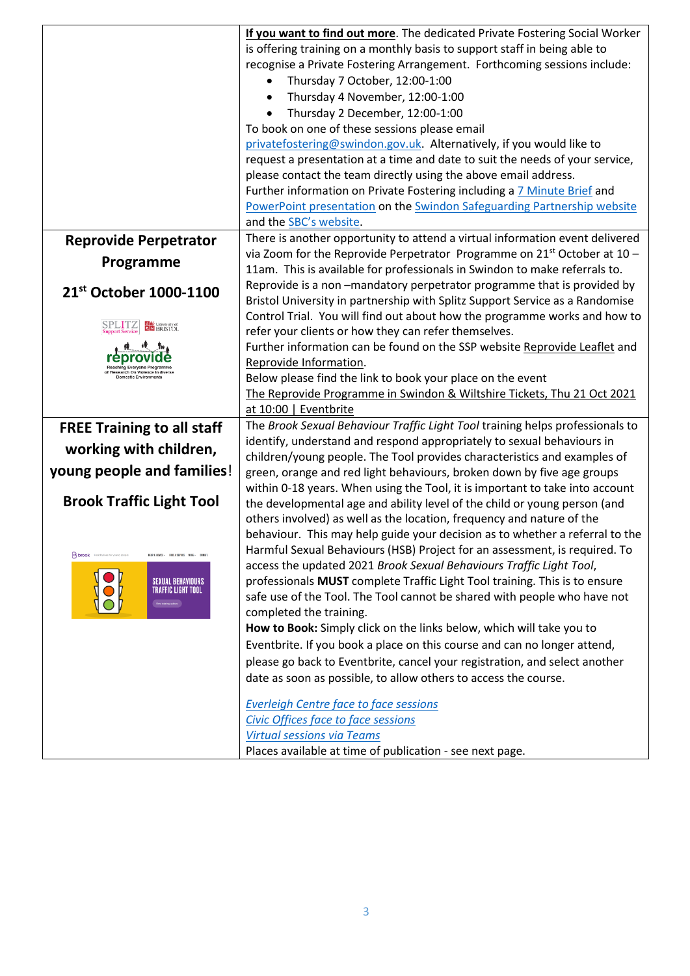|                                                                                      | If you want to find out more. The dedicated Private Fostering Social Worker<br>is offering training on a monthly basis to support staff in being able to<br>recognise a Private Fostering Arrangement. Forthcoming sessions include:<br>Thursday 7 October, 12:00-1:00<br>$\bullet$<br>Thursday 4 November, 12:00-1:00<br>Thursday 2 December, 12:00-1:00<br>To book on one of these sessions please email<br>privatefostering@swindon.gov.uk. Alternatively, if you would like to<br>request a presentation at a time and date to suit the needs of your service,<br>please contact the team directly using the above email address.<br>Further information on Private Fostering including a 7 Minute Brief and<br>PowerPoint presentation on the Swindon Safeguarding Partnership website<br>and the SBC's website. |
|--------------------------------------------------------------------------------------|-----------------------------------------------------------------------------------------------------------------------------------------------------------------------------------------------------------------------------------------------------------------------------------------------------------------------------------------------------------------------------------------------------------------------------------------------------------------------------------------------------------------------------------------------------------------------------------------------------------------------------------------------------------------------------------------------------------------------------------------------------------------------------------------------------------------------|
| <b>Reprovide Perpetrator</b>                                                         | There is another opportunity to attend a virtual information event delivered                                                                                                                                                                                                                                                                                                                                                                                                                                                                                                                                                                                                                                                                                                                                          |
| Programme                                                                            | via Zoom for the Reprovide Perpetrator Programme on $21st$ October at 10 -<br>11am. This is available for professionals in Swindon to make referrals to.                                                                                                                                                                                                                                                                                                                                                                                                                                                                                                                                                                                                                                                              |
| 21 <sup>st</sup> October 1000-1100                                                   | Reprovide is a non-mandatory perpetrator programme that is provided by<br>Bristol University in partnership with Splitz Support Service as a Randomise                                                                                                                                                                                                                                                                                                                                                                                                                                                                                                                                                                                                                                                                |
| SPLITZ<br>University of                                                              | Control Trial. You will find out about how the programme works and how to<br>refer your clients or how they can refer themselves.                                                                                                                                                                                                                                                                                                                                                                                                                                                                                                                                                                                                                                                                                     |
|                                                                                      | Further information can be found on the SSP website Reprovide Leaflet and                                                                                                                                                                                                                                                                                                                                                                                                                                                                                                                                                                                                                                                                                                                                             |
|                                                                                      | Reprovide Information.                                                                                                                                                                                                                                                                                                                                                                                                                                                                                                                                                                                                                                                                                                                                                                                                |
|                                                                                      | Below please find the link to book your place on the event<br>The Reprovide Programme in Swindon & Wiltshire Tickets, Thu 21 Oct 2021                                                                                                                                                                                                                                                                                                                                                                                                                                                                                                                                                                                                                                                                                 |
|                                                                                      | at 10:00   Eventbrite                                                                                                                                                                                                                                                                                                                                                                                                                                                                                                                                                                                                                                                                                                                                                                                                 |
| <b>FREE Training to all staff</b>                                                    | The Brook Sexual Behaviour Traffic Light Tool training helps professionals to                                                                                                                                                                                                                                                                                                                                                                                                                                                                                                                                                                                                                                                                                                                                         |
| working with children,                                                               | identify, understand and respond appropriately to sexual behaviours in<br>children/young people. The Tool provides characteristics and examples of                                                                                                                                                                                                                                                                                                                                                                                                                                                                                                                                                                                                                                                                    |
| young people and families!                                                           | green, orange and red light behaviours, broken down by five age groups                                                                                                                                                                                                                                                                                                                                                                                                                                                                                                                                                                                                                                                                                                                                                |
| <b>Brook Traffic Light Tool</b>                                                      | within 0-18 years. When using the Tool, it is important to take into account<br>the developmental age and ability level of the child or young person (and                                                                                                                                                                                                                                                                                                                                                                                                                                                                                                                                                                                                                                                             |
|                                                                                      | others involved) as well as the location, frequency and nature of the                                                                                                                                                                                                                                                                                                                                                                                                                                                                                                                                                                                                                                                                                                                                                 |
|                                                                                      | behaviour. This may help guide your decision as to whether a referral to the                                                                                                                                                                                                                                                                                                                                                                                                                                                                                                                                                                                                                                                                                                                                          |
| <b>Brook</b> Healthy lives for young people<br>HELP & ADVICE - FIND A SERVICE MIDE - | Harmful Sexual Behaviours (HSB) Project for an assessment, is required. To                                                                                                                                                                                                                                                                                                                                                                                                                                                                                                                                                                                                                                                                                                                                            |
|                                                                                      | access the updated 2021 Brook Sexual Behaviours Traffic Light Tool,                                                                                                                                                                                                                                                                                                                                                                                                                                                                                                                                                                                                                                                                                                                                                   |
| SEXUAL BEHAVIOURS<br>(FFIC LIGHT TOOL                                                | professionals MUST complete Traffic Light Tool training. This is to ensure<br>safe use of the Tool. The Tool cannot be shared with people who have not                                                                                                                                                                                                                                                                                                                                                                                                                                                                                                                                                                                                                                                                |
|                                                                                      | completed the training.                                                                                                                                                                                                                                                                                                                                                                                                                                                                                                                                                                                                                                                                                                                                                                                               |
|                                                                                      | How to Book: Simply click on the links below, which will take you to                                                                                                                                                                                                                                                                                                                                                                                                                                                                                                                                                                                                                                                                                                                                                  |
|                                                                                      | Eventbrite. If you book a place on this course and can no longer attend,                                                                                                                                                                                                                                                                                                                                                                                                                                                                                                                                                                                                                                                                                                                                              |
|                                                                                      | please go back to Eventbrite, cancel your registration, and select another                                                                                                                                                                                                                                                                                                                                                                                                                                                                                                                                                                                                                                                                                                                                            |
|                                                                                      | date as soon as possible, to allow others to access the course.                                                                                                                                                                                                                                                                                                                                                                                                                                                                                                                                                                                                                                                                                                                                                       |
|                                                                                      | <b>Everleigh Centre face to face sessions</b>                                                                                                                                                                                                                                                                                                                                                                                                                                                                                                                                                                                                                                                                                                                                                                         |
|                                                                                      | Civic Offices face to face sessions                                                                                                                                                                                                                                                                                                                                                                                                                                                                                                                                                                                                                                                                                                                                                                                   |
|                                                                                      | <b>Virtual sessions via Teams</b>                                                                                                                                                                                                                                                                                                                                                                                                                                                                                                                                                                                                                                                                                                                                                                                     |
|                                                                                      | Places available at time of publication - see next page.                                                                                                                                                                                                                                                                                                                                                                                                                                                                                                                                                                                                                                                                                                                                                              |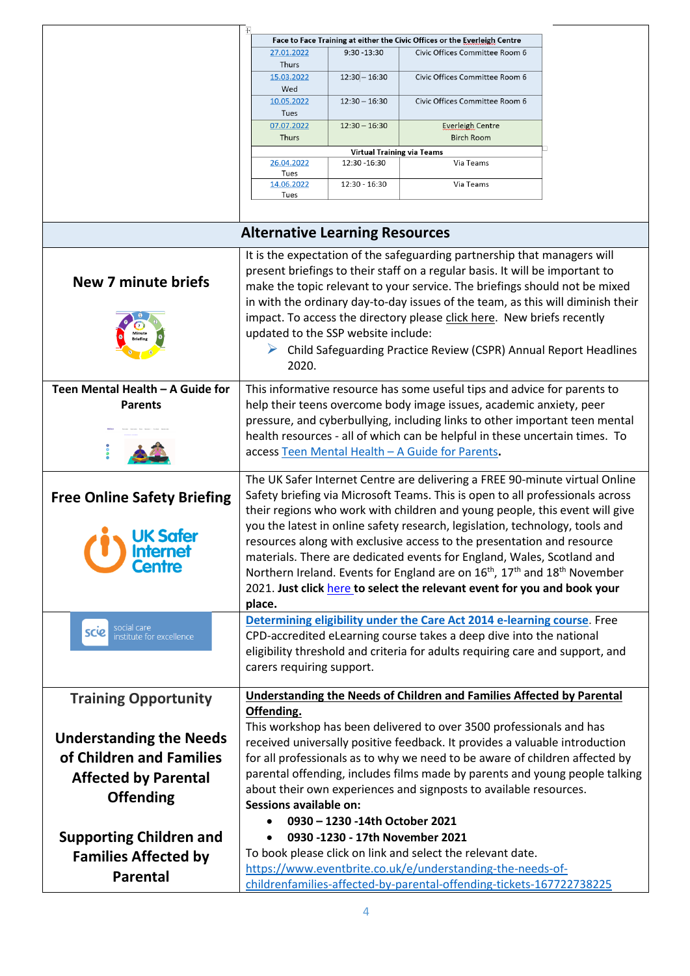|                                                 | $\mp{}$                                                                       |                                                    |                                                                                                                                                            |  |
|-------------------------------------------------|-------------------------------------------------------------------------------|----------------------------------------------------|------------------------------------------------------------------------------------------------------------------------------------------------------------|--|
|                                                 | 27.01.2022                                                                    | $9:30 - 13:30$                                     | Face to Face Training at either the Civic Offices or the <u>Everleigh</u> Centre<br>Civic Offices Committee Room 6                                         |  |
|                                                 | Thurs                                                                         |                                                    |                                                                                                                                                            |  |
|                                                 | 15.03.2022<br>Wed                                                             | $12:30 - 16:30$                                    | Civic Offices Committee Room 6                                                                                                                             |  |
|                                                 | 10.05.2022<br>Tues                                                            | $12:30 - 16:30$                                    | Civic Offices Committee Room 6                                                                                                                             |  |
|                                                 | 07.07.2022                                                                    | $12:30 - 16:30$                                    | Everleigh Centre                                                                                                                                           |  |
|                                                 | Thurs                                                                         |                                                    | <b>Birch Room</b>                                                                                                                                          |  |
|                                                 | 26.04.2022                                                                    | <b>Virtual Training via Teams</b><br>12:30 - 16:30 | Via Teams                                                                                                                                                  |  |
|                                                 | Tues                                                                          |                                                    |                                                                                                                                                            |  |
|                                                 | 14.06.2022<br>Tues                                                            | 12:30 - 16:30                                      | Via Teams                                                                                                                                                  |  |
|                                                 |                                                                               |                                                    |                                                                                                                                                            |  |
|                                                 | <b>Alternative Learning Resources</b>                                         |                                                    |                                                                                                                                                            |  |
|                                                 |                                                                               |                                                    | It is the expectation of the safeguarding partnership that managers will                                                                                   |  |
|                                                 |                                                                               |                                                    | present briefings to their staff on a regular basis. It will be important to                                                                               |  |
| <b>New 7 minute briefs</b>                      |                                                                               |                                                    | make the topic relevant to your service. The briefings should not be mixed                                                                                 |  |
|                                                 |                                                                               |                                                    | in with the ordinary day-to-day issues of the team, as this will diminish their                                                                            |  |
|                                                 |                                                                               |                                                    | impact. To access the directory please click here. New briefs recently                                                                                     |  |
|                                                 | updated to the SSP website include:                                           |                                                    |                                                                                                                                                            |  |
|                                                 |                                                                               |                                                    | $\triangleright$ Child Safeguarding Practice Review (CSPR) Annual Report Headlines                                                                         |  |
|                                                 | 2020.                                                                         |                                                    |                                                                                                                                                            |  |
| Teen Mental Health - A Guide for                |                                                                               |                                                    | This informative resource has some useful tips and advice for parents to                                                                                   |  |
| <b>Parents</b>                                  |                                                                               |                                                    | help their teens overcome body image issues, academic anxiety, peer                                                                                        |  |
|                                                 |                                                                               |                                                    | pressure, and cyberbullying, including links to other important teen mental                                                                                |  |
|                                                 | health resources - all of which can be helpful in these uncertain times. To   |                                                    |                                                                                                                                                            |  |
|                                                 | access Teen Mental Health - A Guide for Parents.                              |                                                    |                                                                                                                                                            |  |
|                                                 |                                                                               |                                                    | The UK Safer Internet Centre are delivering a FREE 90-minute virtual Online                                                                                |  |
| <b>Free Online Safety Briefing</b>              | Safety briefing via Microsoft Teams. This is open to all professionals across |                                                    |                                                                                                                                                            |  |
|                                                 |                                                                               |                                                    | their regions who work with children and young people, this event will give                                                                                |  |
| <b>UK Safer</b>                                 |                                                                               |                                                    | you the latest in online safety research, legislation, technology, tools and                                                                               |  |
| <b>Internet</b>                                 |                                                                               |                                                    | resources along with exclusive access to the presentation and resource                                                                                     |  |
| Centre                                          |                                                                               |                                                    | materials. There are dedicated events for England, Wales, Scotland and                                                                                     |  |
|                                                 |                                                                               |                                                    | Northern Ireland. Events for England are on 16 <sup>th</sup> , 17 <sup>th</sup> and 18 <sup>th</sup> November                                              |  |
|                                                 |                                                                               |                                                    | 2021. Just click here to select the relevant event for you and book your                                                                                   |  |
|                                                 | place.                                                                        |                                                    | Determining eligibility under the Care Act 2014 e-learning course. Free                                                                                    |  |
| social care<br>scie<br>institute for excellence |                                                                               |                                                    | CPD-accredited eLearning course takes a deep dive into the national                                                                                        |  |
|                                                 |                                                                               |                                                    | eligibility threshold and criteria for adults requiring care and support, and                                                                              |  |
|                                                 | carers requiring support.                                                     |                                                    |                                                                                                                                                            |  |
|                                                 |                                                                               |                                                    |                                                                                                                                                            |  |
| <b>Training Opportunity</b>                     |                                                                               |                                                    | <b>Understanding the Needs of Children and Families Affected by Parental</b>                                                                               |  |
|                                                 | Offending.                                                                    |                                                    |                                                                                                                                                            |  |
| <b>Understanding the Needs</b>                  |                                                                               |                                                    | This workshop has been delivered to over 3500 professionals and has                                                                                        |  |
| of Children and Families                        |                                                                               |                                                    | received universally positive feedback. It provides a valuable introduction                                                                                |  |
|                                                 |                                                                               |                                                    | for all professionals as to why we need to be aware of children affected by<br>parental offending, includes films made by parents and young people talking |  |
| <b>Affected by Parental</b>                     |                                                                               |                                                    | about their own experiences and signposts to available resources.                                                                                          |  |
| <b>Offending</b>                                | <b>Sessions available on:</b>                                                 |                                                    |                                                                                                                                                            |  |
|                                                 |                                                                               | 0930 - 1230 - 14th October 2021                    |                                                                                                                                                            |  |
| <b>Supporting Children and</b>                  |                                                                               |                                                    | 0930 -1230 - 17th November 2021                                                                                                                            |  |
| <b>Families Affected by</b>                     |                                                                               |                                                    | To book please click on link and select the relevant date.                                                                                                 |  |
|                                                 |                                                                               |                                                    | https://www.eventbrite.co.uk/e/understanding-the-needs-of-                                                                                                 |  |
| <b>Parental</b>                                 |                                                                               |                                                    | childrenfamilies-affected-by-parental-offending-tickets-167722738225                                                                                       |  |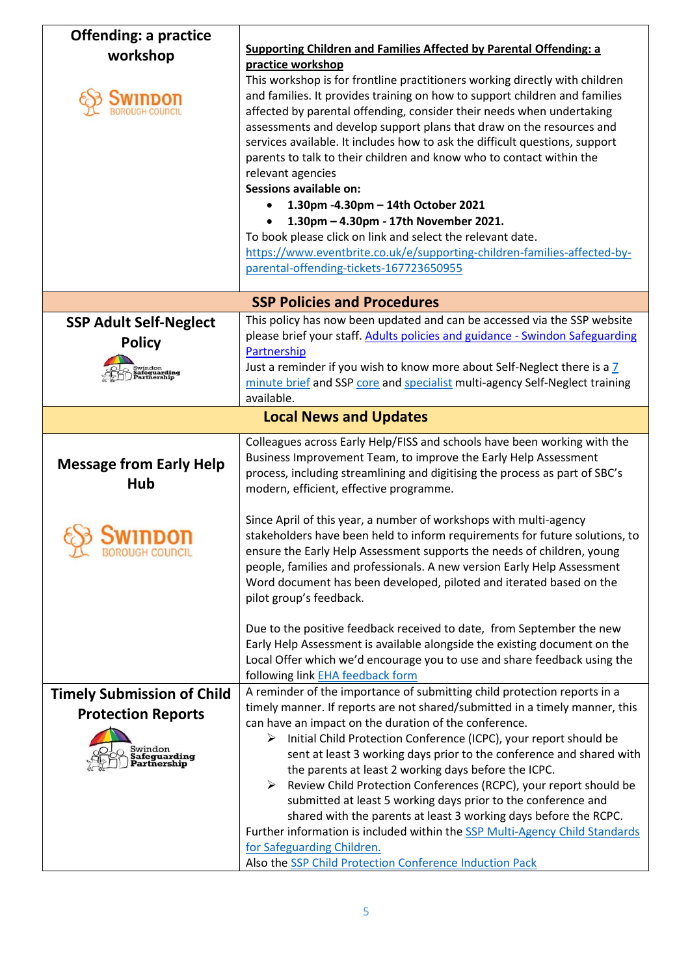| <b>Offending: a practice</b><br>workshop                                            | <b>Supporting Children and Families Affected by Parental Offending: a</b><br>practice workshop<br>This workshop is for frontline practitioners working directly with children<br>and families. It provides training on how to support children and families<br>affected by parental offending, consider their needs when undertaking<br>assessments and develop support plans that draw on the resources and<br>services available. It includes how to ask the difficult questions, support<br>parents to talk to their children and know who to contact within the<br>relevant agencies<br><b>Sessions available on:</b><br>1.30pm -4.30pm - 14th October 2021<br>1.30pm - 4.30pm - 17th November 2021.<br>To book please click on link and select the relevant date.<br>https://www.eventbrite.co.uk/e/supporting-children-families-affected-by-<br>parental-offending-tickets-167723650955 |
|-------------------------------------------------------------------------------------|-----------------------------------------------------------------------------------------------------------------------------------------------------------------------------------------------------------------------------------------------------------------------------------------------------------------------------------------------------------------------------------------------------------------------------------------------------------------------------------------------------------------------------------------------------------------------------------------------------------------------------------------------------------------------------------------------------------------------------------------------------------------------------------------------------------------------------------------------------------------------------------------------|
|                                                                                     | <b>SSP Policies and Procedures</b>                                                                                                                                                                                                                                                                                                                                                                                                                                                                                                                                                                                                                                                                                                                                                                                                                                                            |
| <b>SSP Adult Self-Neglect</b><br><b>Policy</b><br><b>ifeguarding<br/>artnership</b> | This policy has now been updated and can be accessed via the SSP website<br>please brief your staff. Adults policies and guidance - Swindon Safeguarding<br>Partnership<br>Just a reminder if you wish to know more about Self-Neglect there is a 7<br>minute brief and SSP core and specialist multi-agency Self-Neglect training<br>available.                                                                                                                                                                                                                                                                                                                                                                                                                                                                                                                                              |
|                                                                                     | <b>Local News and Updates</b>                                                                                                                                                                                                                                                                                                                                                                                                                                                                                                                                                                                                                                                                                                                                                                                                                                                                 |
| <b>Message from Early Help</b><br>Hub                                               | Colleagues across Early Help/FISS and schools have been working with the<br>Business Improvement Team, to improve the Early Help Assessment<br>process, including streamlining and digitising the process as part of SBC's<br>modern, efficient, effective programme.                                                                                                                                                                                                                                                                                                                                                                                                                                                                                                                                                                                                                         |
| <b>BOROUGH COUNCIL</b>                                                              | Since April of this year, a number of workshops with multi-agency<br>stakeholders have been held to inform requirements for future solutions, to<br>ensure the Early Help Assessment supports the needs of children, young<br>people, families and professionals. A new version Early Help Assessment<br>Word document has been developed, piloted and iterated based on the<br>pilot group's feedback.                                                                                                                                                                                                                                                                                                                                                                                                                                                                                       |
|                                                                                     | Due to the positive feedback received to date, from September the new<br>Early Help Assessment is available alongside the existing document on the<br>Local Offer which we'd encourage you to use and share feedback using the<br>following link EHA feedback form                                                                                                                                                                                                                                                                                                                                                                                                                                                                                                                                                                                                                            |
| <b>Timely Submission of Child</b>                                                   | A reminder of the importance of submitting child protection reports in a                                                                                                                                                                                                                                                                                                                                                                                                                                                                                                                                                                                                                                                                                                                                                                                                                      |
| <b>Protection Reports</b><br>Swindon<br><b>Safeguarding</b><br><b>Partnership</b>   | timely manner. If reports are not shared/submitted in a timely manner, this<br>can have an impact on the duration of the conference.<br>Initial Child Protection Conference (ICPC), your report should be<br>➤<br>sent at least 3 working days prior to the conference and shared with<br>the parents at least 2 working days before the ICPC.<br>Review Child Protection Conferences (RCPC), your report should be<br>➤<br>submitted at least 5 working days prior to the conference and<br>shared with the parents at least 3 working days before the RCPC.<br>Further information is included within the SSP Multi-Agency Child Standards<br>for Safeguarding Children.<br>Also the SSP Child Protection Conference Induction Pack                                                                                                                                                         |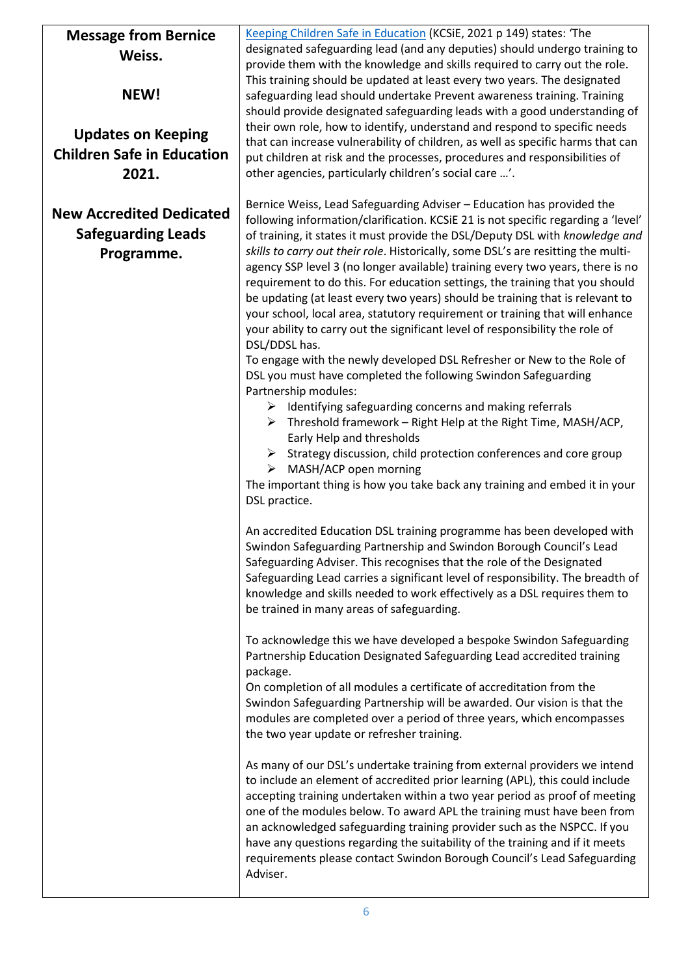| <b>Message from Bernice</b>       | Keeping Children Safe in Education (KCSiE, 2021 p 149) states: 'The               |
|-----------------------------------|-----------------------------------------------------------------------------------|
| Weiss.                            | designated safeguarding lead (and any deputies) should undergo training to        |
|                                   | provide them with the knowledge and skills required to carry out the role.        |
|                                   | This training should be updated at least every two years. The designated          |
| NEW!                              | safeguarding lead should undertake Prevent awareness training. Training           |
|                                   | should provide designated safeguarding leads with a good understanding of         |
|                                   | their own role, how to identify, understand and respond to specific needs         |
| <b>Updates on Keeping</b>         | that can increase vulnerability of children, as well as specific harms that can   |
| <b>Children Safe in Education</b> | put children at risk and the processes, procedures and responsibilities of        |
| 2021.                             | other agencies, particularly children's social care '.                            |
|                                   |                                                                                   |
|                                   | Bernice Weiss, Lead Safeguarding Adviser - Education has provided the             |
| <b>New Accredited Dedicated</b>   | following information/clarification. KCSiE 21 is not specific regarding a 'level' |
| <b>Safeguarding Leads</b>         | of training, it states it must provide the DSL/Deputy DSL with knowledge and      |
| Programme.                        | skills to carry out their role. Historically, some DSL's are resitting the multi- |
|                                   | agency SSP level 3 (no longer available) training every two years, there is no    |
|                                   | requirement to do this. For education settings, the training that you should      |
|                                   | be updating (at least every two years) should be training that is relevant to     |
|                                   | your school, local area, statutory requirement or training that will enhance      |
|                                   | your ability to carry out the significant level of responsibility the role of     |
|                                   | DSL/DDSL has.                                                                     |
|                                   | To engage with the newly developed DSL Refresher or New to the Role of            |
|                                   | DSL you must have completed the following Swindon Safeguarding                    |
|                                   | Partnership modules:                                                              |
|                                   | $\triangleright$ Identifying safeguarding concerns and making referrals           |
|                                   | $\triangleright$ Threshold framework – Right Help at the Right Time, MASH/ACP,    |
|                                   | Early Help and thresholds                                                         |
|                                   | $\triangleright$ Strategy discussion, child protection conferences and core group |
|                                   | $\triangleright$ MASH/ACP open morning                                            |
|                                   | The important thing is how you take back any training and embed it in your        |
|                                   | DSL practice.                                                                     |
|                                   | An accredited Education DSL training programme has been developed with            |
|                                   | Swindon Safeguarding Partnership and Swindon Borough Council's Lead               |
|                                   | Safeguarding Adviser. This recognises that the role of the Designated             |
|                                   | Safeguarding Lead carries a significant level of responsibility. The breadth of   |
|                                   | knowledge and skills needed to work effectively as a DSL requires them to         |
|                                   | be trained in many areas of safeguarding.                                         |
|                                   |                                                                                   |
|                                   | To acknowledge this we have developed a bespoke Swindon Safeguarding              |
|                                   | Partnership Education Designated Safeguarding Lead accredited training            |
|                                   | package.                                                                          |
|                                   | On completion of all modules a certificate of accreditation from the              |
|                                   | Swindon Safeguarding Partnership will be awarded. Our vision is that the          |
|                                   | modules are completed over a period of three years, which encompasses             |
|                                   | the two year update or refresher training.                                        |
|                                   |                                                                                   |
|                                   | As many of our DSL's undertake training from external providers we intend         |
|                                   | to include an element of accredited prior learning (APL), this could include      |
|                                   | accepting training undertaken within a two year period as proof of meeting        |
|                                   | one of the modules below. To award APL the training must have been from           |
|                                   | an acknowledged safeguarding training provider such as the NSPCC. If you          |
|                                   | have any questions regarding the suitability of the training and if it meets      |
|                                   | requirements please contact Swindon Borough Council's Lead Safeguarding           |
|                                   | Adviser.                                                                          |
|                                   |                                                                                   |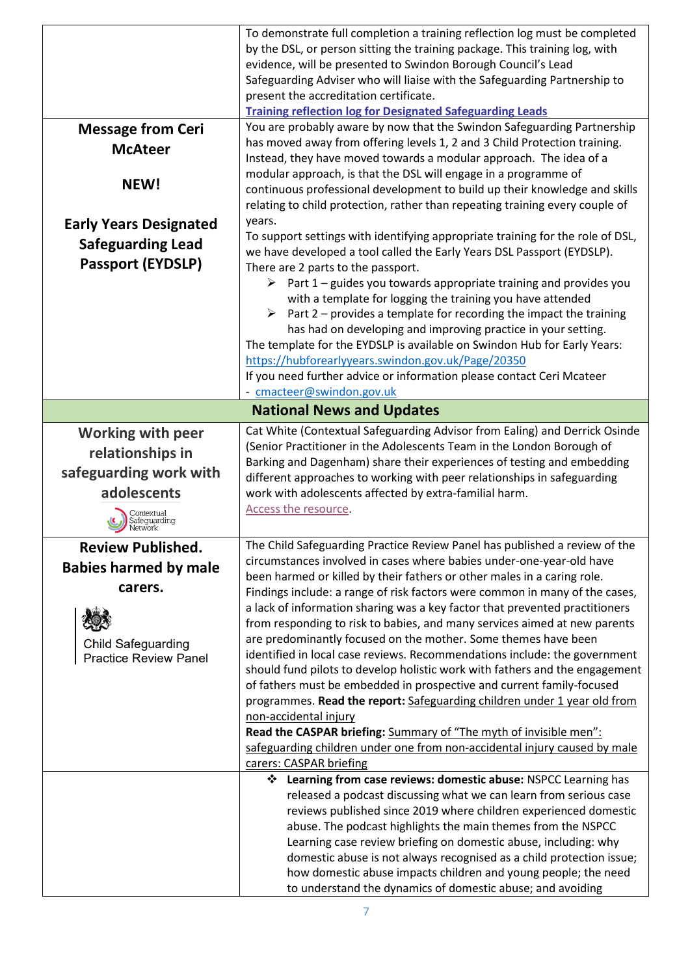|                               | To demonstrate full completion a training reflection log must be completed                                                                                                                                                    |  |  |
|-------------------------------|-------------------------------------------------------------------------------------------------------------------------------------------------------------------------------------------------------------------------------|--|--|
|                               | by the DSL, or person sitting the training package. This training log, with<br>evidence, will be presented to Swindon Borough Council's Lead                                                                                  |  |  |
|                               | Safeguarding Adviser who will liaise with the Safeguarding Partnership to                                                                                                                                                     |  |  |
|                               | present the accreditation certificate.                                                                                                                                                                                        |  |  |
|                               | <b>Training reflection log for Designated Safeguarding Leads</b>                                                                                                                                                              |  |  |
| <b>Message from Ceri</b>      | You are probably aware by now that the Swindon Safeguarding Partnership                                                                                                                                                       |  |  |
| <b>McAteer</b>                | has moved away from offering levels 1, 2 and 3 Child Protection training.                                                                                                                                                     |  |  |
|                               | Instead, they have moved towards a modular approach. The idea of a                                                                                                                                                            |  |  |
| NEW!                          | modular approach, is that the DSL will engage in a programme of<br>continuous professional development to build up their knowledge and skills<br>relating to child protection, rather than repeating training every couple of |  |  |
| <b>Early Years Designated</b> | years.                                                                                                                                                                                                                        |  |  |
| <b>Safeguarding Lead</b>      | To support settings with identifying appropriate training for the role of DSL,                                                                                                                                                |  |  |
| <b>Passport (EYDSLP)</b>      | we have developed a tool called the Early Years DSL Passport (EYDSLP).                                                                                                                                                        |  |  |
|                               | There are 2 parts to the passport.<br>$\triangleright$ Part 1 – guides you towards appropriate training and provides you                                                                                                      |  |  |
|                               | with a template for logging the training you have attended                                                                                                                                                                    |  |  |
|                               | ➤<br>Part 2 – provides a template for recording the impact the training                                                                                                                                                       |  |  |
|                               | has had on developing and improving practice in your setting.                                                                                                                                                                 |  |  |
|                               | The template for the EYDSLP is available on Swindon Hub for Early Years:                                                                                                                                                      |  |  |
|                               | https://hubforearlyyears.swindon.gov.uk/Page/20350                                                                                                                                                                            |  |  |
|                               | If you need further advice or information please contact Ceri Mcateer                                                                                                                                                         |  |  |
|                               | - cmacteer@swindon.gov.uk                                                                                                                                                                                                     |  |  |
|                               | <b>National News and Updates</b>                                                                                                                                                                                              |  |  |
| <b>Working with peer</b>      | Cat White (Contextual Safeguarding Advisor from Ealing) and Derrick Osinde                                                                                                                                                    |  |  |
| relationships in              | (Senior Practitioner in the Adolescents Team in the London Borough of<br>Barking and Dagenham) share their experiences of testing and embedding                                                                               |  |  |
| safeguarding work with        | different approaches to working with peer relationships in safeguarding                                                                                                                                                       |  |  |
|                               |                                                                                                                                                                                                                               |  |  |
| adolescents                   |                                                                                                                                                                                                                               |  |  |
|                               | work with adolescents affected by extra-familial harm.<br>Access the resource.                                                                                                                                                |  |  |
| ontextual<br>.feguarding      |                                                                                                                                                                                                                               |  |  |
| <b>Review Published.</b>      | The Child Safeguarding Practice Review Panel has published a review of the                                                                                                                                                    |  |  |
|                               | circumstances involved in cases where babies under-one-year-old have                                                                                                                                                          |  |  |
| <b>Babies harmed by male</b>  | been harmed or killed by their fathers or other males in a caring role.                                                                                                                                                       |  |  |
| carers.                       | Findings include: a range of risk factors were common in many of the cases,                                                                                                                                                   |  |  |
|                               | a lack of information sharing was a key factor that prevented practitioners                                                                                                                                                   |  |  |
|                               | from responding to risk to babies, and many services aimed at new parents                                                                                                                                                     |  |  |
| <b>Child Safeguarding</b>     | are predominantly focused on the mother. Some themes have been                                                                                                                                                                |  |  |
| <b>Practice Review Panel</b>  | identified in local case reviews. Recommendations include: the government<br>should fund pilots to develop holistic work with fathers and the engagement                                                                      |  |  |
|                               | of fathers must be embedded in prospective and current family-focused                                                                                                                                                         |  |  |
|                               | programmes. Read the report: Safeguarding children under 1 year old from                                                                                                                                                      |  |  |
|                               | non-accidental injury                                                                                                                                                                                                         |  |  |
|                               | Read the CASPAR briefing: Summary of "The myth of invisible men":                                                                                                                                                             |  |  |
|                               | safeguarding children under one from non-accidental injury caused by male                                                                                                                                                     |  |  |
|                               | carers: CASPAR briefing                                                                                                                                                                                                       |  |  |
|                               | Learning from case reviews: domestic abuse: NSPCC Learning has                                                                                                                                                                |  |  |
|                               | released a podcast discussing what we can learn from serious case<br>reviews published since 2019 where children experienced domestic                                                                                         |  |  |
|                               | abuse. The podcast highlights the main themes from the NSPCC                                                                                                                                                                  |  |  |
|                               | Learning case review briefing on domestic abuse, including: why                                                                                                                                                               |  |  |
|                               | domestic abuse is not always recognised as a child protection issue;                                                                                                                                                          |  |  |
|                               | how domestic abuse impacts children and young people; the need<br>to understand the dynamics of domestic abuse; and avoiding                                                                                                  |  |  |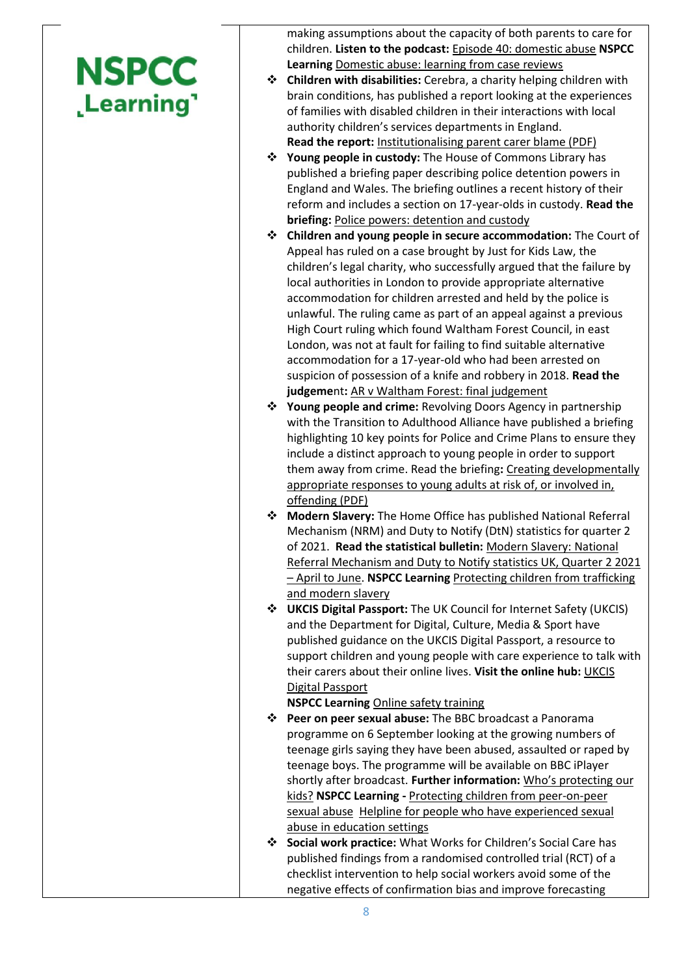## **NSPCC** Learning'

making assumptions about the capacity of both parents to care for children. **Listen to the podcast:** [Episode 40: domestic abuse](http://email.nspcc.org.uk/c/1e5FOGDMb9XQRNwxFXqyXPI0zN) **NSPCC Learning** [Domestic abuse: learning from case reviews](http://email.nspcc.org.uk/c/1e5FPowyYU0FmriJMsHSOOsLzm)

- **Children with disabilities:** Cerebra, a charity helping children with brain conditions, has published a report looking at the experiences of families with disabled children in their interactions with local authority children's services departments in England.
- **Read the report:** [Institutionalising parent carer blame \(PDF\)](http://email.nspcc.org.uk/c/1e5FZiTAdiE4hqbtfwCmMx1ntg) **Young people in custody:** The House of Commons Library has published a briefing paper describing police detention powers in England and Wales. The briefing outlines a recent history of their reform and includes a section on 17-year-olds in custody. **Read the briefing:** [Police powers: detention and custody](http://email.nspcc.org.uk/c/1emnNvrOB1koG6eyAQSK3bH3j6)
- **Children and young people in secure accommodation:** The Court of Appeal has ruled on a case brought by Just for Kids Law, the children's legal charity, who successfully argued that the failure by local authorities in London to provide appropriate alternative accommodation for children arrested and held by the police is unlawful. The ruling came as part of an appeal against a previous High Court ruling which found Waltham Forest Council, in east London, was not at fault for failing to find suitable alternative accommodation for a 17-year-old who had been arrested on suspicion of possession of a knife and robbery in 2018. **Read the judgeme**nt**:** [AR v Waltham Forest: final judgement](http://email.nspcc.org.uk/c/1emnM5GeZxeLGOGanQk6lebxjY)
- **Young people and crime:** Revolving Doors Agency in partnership with the Transition to Adulthood Alliance have published a briefing highlighting 10 key points for Police and Crime Plans to ensure they include a distinct approach to young people in order to support them away from crime. Read the briefing**:** [Creating developmentally](http://email.nspcc.org.uk/c/1emnJg95Mz3vIfznXPcOVjavlI)  [appropriate responses to young adults at risk of, or involved in,](http://email.nspcc.org.uk/c/1emnJg95Mz3vIfznXPcOVjavlI)  [offending \(PDF\)](http://email.nspcc.org.uk/c/1emnJg95Mz3vIfznXPcOVjavlI)
- **Modern Slavery:** The Home Office has published National Referral Mechanism (NRM) and Duty to Notify (DtN) statistics for quarter 2 of 2021. **Read the statistical bulletin:** [Modern Slavery: National](http://email.nspcc.org.uk/c/1emnFIJ9LQPrf2GpriOdEpoInT)  [Referral Mechanism and Duty to Notify statistics UK, Quarter 2 2021](http://email.nspcc.org.uk/c/1emnFIJ9LQPrf2GpriOdEpoInT)  – [April to June.](http://email.nspcc.org.uk/c/1emnFIJ9LQPrf2GpriOdEpoInT) **NSPCC Learning** [Protecting children from trafficking](http://email.nspcc.org.uk/c/1emnGqBWzASfJGsBxO5xvo9tns)  [and modern slavery](http://email.nspcc.org.uk/c/1emnGqBWzASfJGsBxO5xvo9tns)
- **UKCIS Digital Passport:** The UK Council for Internet Safety (UKCIS) and the Department for Digital, Culture, Media & Sport have published guidance on the UKCIS Digital Passport, a resource to support children and young people with care experience to talk with their carers about their online lives. **Visit the online hub:** [UKCIS](http://email.nspcc.org.uk/c/1emnBtqqXoyyhc1eOh8iwwSaqv)  [Digital Passport](http://email.nspcc.org.uk/c/1emnBtqqXoyyhc1eOh8iwwSaqv)

## **NSPCC Learning** [Online safety training](http://email.nspcc.org.uk/c/1emnCbjdL8BmLPNqUMpCnvCVq4)

- **Peer on peer sexual abuse:** The BBC broadcast a Panorama programme on 6 September looking at the growing numbers of teenage girls saying they have been abused, assaulted or raped by teenage boys. The programme will be available on BBC iPlayer shortly after broadcast. **Further information:** [Who's protecting our](http://email.nspcc.org.uk/c/1eLHEDMaCJxzw2fN78sz2W7lpD)  [kids?](http://email.nspcc.org.uk/c/1eLHEDMaCJxzw2fN78sz2W7lpD) **NSPCC Learning -** [Protecting children from peer-on-peer](http://email.nspcc.org.uk/c/1eLHFlEXqtAo0G1ZdDJSTUS6pc)  [sexual abuse](http://email.nspcc.org.uk/c/1eLHFlEXqtAo0G1ZdDJSTUS6pc) [Helpline for people who have experienced sexual](http://email.nspcc.org.uk/c/1eLHGLqx1XG0ZXAnqEiwBSnCok)  [abuse in education settings](http://email.nspcc.org.uk/c/1eLHGLqx1XG0ZXAnqEiwBSnCok)
- **Social work practice:** What Works for Children's Social Care has published findings from a randomised controlled trial (RCT) of a checklist intervention to help social workers avoid some of the negative effects of confirmation bias and improve forecasting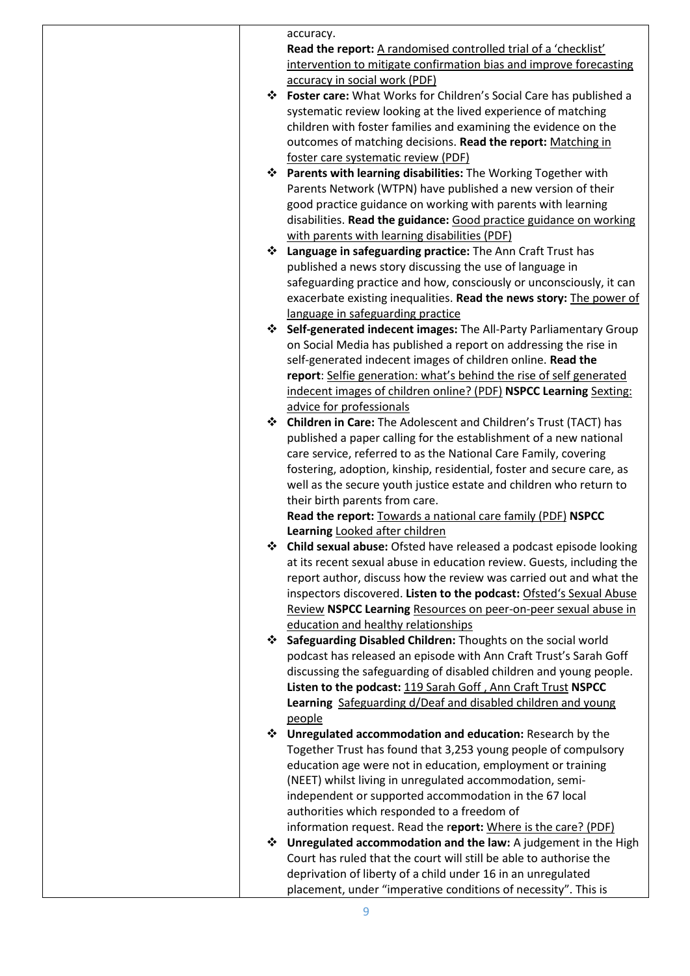|       | accuracy.                                                             |
|-------|-----------------------------------------------------------------------|
|       | Read the report: A randomised controlled trial of a 'checklist'       |
|       | intervention to mitigate confirmation bias and improve forecasting    |
|       | accuracy in social work (PDF)                                         |
|       | ❖ Foster care: What Works for Children's Social Care has published a  |
|       | systematic review looking at the lived experience of matching         |
|       | children with foster families and examining the evidence on the       |
|       | outcomes of matching decisions. Read the report: Matching in          |
|       | foster care systematic review (PDF)                                   |
|       | ❖ Parents with learning disabilities: The Working Together with       |
|       | Parents Network (WTPN) have published a new version of their          |
|       | good practice guidance on working with parents with learning          |
|       | disabilities. Read the guidance: Good practice guidance on working    |
|       | with parents with learning disabilities (PDF)                         |
|       | ❖ Language in safeguarding practice: The Ann Craft Trust has          |
|       |                                                                       |
|       | published a news story discussing the use of language in              |
|       | safeguarding practice and how, consciously or unconsciously, it can   |
|       | exacerbate existing inequalities. Read the news story: The power of   |
|       | language in safeguarding practice                                     |
|       | ❖ Self-generated indecent images: The All-Party Parliamentary Group   |
|       | on Social Media has published a report on addressing the rise in      |
|       | self-generated indecent images of children online. Read the           |
|       | report: Selfie generation: what's behind the rise of self generated   |
|       | indecent images of children online? (PDF) NSPCC Learning Sexting:     |
|       | advice for professionals                                              |
|       | Children in Care: The Adolescent and Children's Trust (TACT) has      |
|       | published a paper calling for the establishment of a new national     |
|       | care service, referred to as the National Care Family, covering       |
|       | fostering, adoption, kinship, residential, foster and secure care, as |
|       | well as the secure youth justice estate and children who return to    |
|       | their birth parents from care.                                        |
|       | Read the report: Towards a national care family (PDF) NSPCC           |
|       | Learning Looked after children                                        |
|       | ❖ Child sexual abuse: Ofsted have released a podcast episode looking  |
|       | at its recent sexual abuse in education review. Guests, including the |
|       | report author, discuss how the review was carried out and what the    |
|       | inspectors discovered. Listen to the podcast: Ofsted's Sexual Abuse   |
|       | Review NSPCC Learning Resources on peer-on-peer sexual abuse in       |
|       | education and healthy relationships                                   |
| ্যোকি | Safeguarding Disabled Children: Thoughts on the social world          |
|       | podcast has released an episode with Ann Craft Trust's Sarah Goff     |
|       | discussing the safeguarding of disabled children and young people.    |
|       | Listen to the podcast: 119 Sarah Goff, Ann Craft Trust NSPCC          |
|       | Learning Safeguarding d/Deaf and disabled children and young          |
|       | people                                                                |
|       | ❖ Unregulated accommodation and education: Research by the            |
|       | Together Trust has found that 3,253 young people of compulsory        |
|       | education age were not in education, employment or training           |
|       | (NEET) whilst living in unregulated accommodation, semi-              |
|       | independent or supported accommodation in the 67 local                |
|       | authorities which responded to a freedom of                           |
|       | information request. Read the report: Where is the care? (PDF)        |
| ্যোকি | Unregulated accommodation and the law: A judgement in the High        |
|       | Court has ruled that the court will still be able to authorise the    |
|       | deprivation of liberty of a child under 16 in an unregulated          |
|       | placement, under "imperative conditions of necessity". This is        |